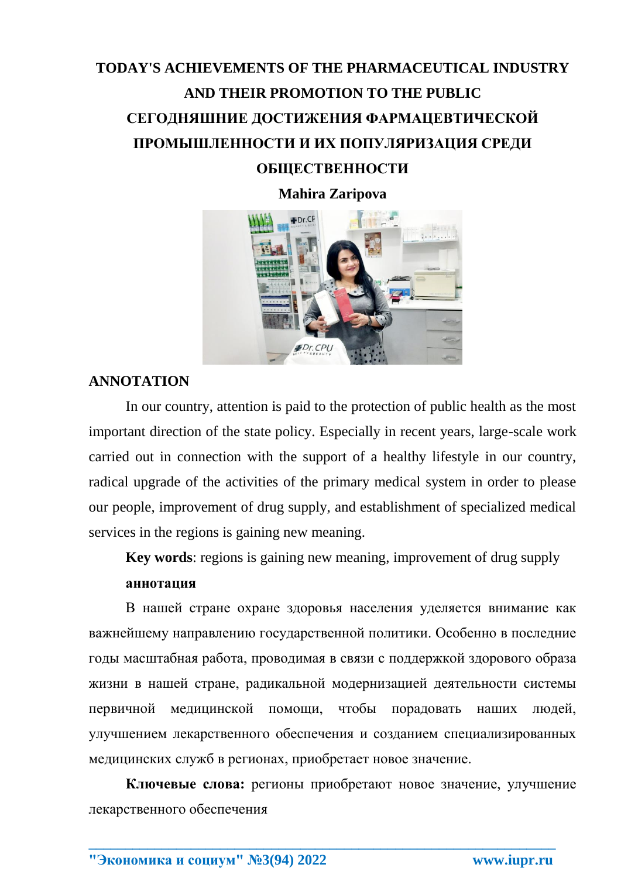## **TODAY'S ACHIEVEMENTS OF THE PHARMACEUTICAL INDUSTRY AND THEIR PROMOTION TO THE PUBLIC СЕГОДНЯШНИЕ ДОСТИЖЕНИЯ ФАРМАЦЕВТИЧЕСКОЙ ПРОМЫШЛЕННОСТИ И ИХ ПОПУЛЯРИЗАЦИЯ СРЕДИ ОБЩЕСТВЕННОСТИ**

**Mahira Zaripova**



## **ANNOTATION**

In our country, attention is paid to the protection of public health as the most important direction of the state policy. Especially in recent years, large-scale work carried out in connection with the support of a healthy lifestyle in our country, radical upgrade of the activities of the primary medical system in order to please our people, improvement of drug supply, and establishment of specialized medical services in the regions is gaining new meaning.

**Key words**: regions is gaining new meaning, improvement of drug supply **аннотация**

В нашей стране охране здоровья населения уделяется внимание как важнейшему направлению государственной политики. Особенно в последние годы масштабная работа, проводимая в связи с поддержкой здорового образа жизни в нашей стране, радикальной модернизацией деятельности системы первичной медицинской помощи, чтобы порадовать наших людей, улучшением лекарственного обеспечения и созданием специализированных медицинских служб в регионах, приобретает новое значение.

**Ключевые слова:** регионы приобретают новое значение, улучшение лекарственного обеспечения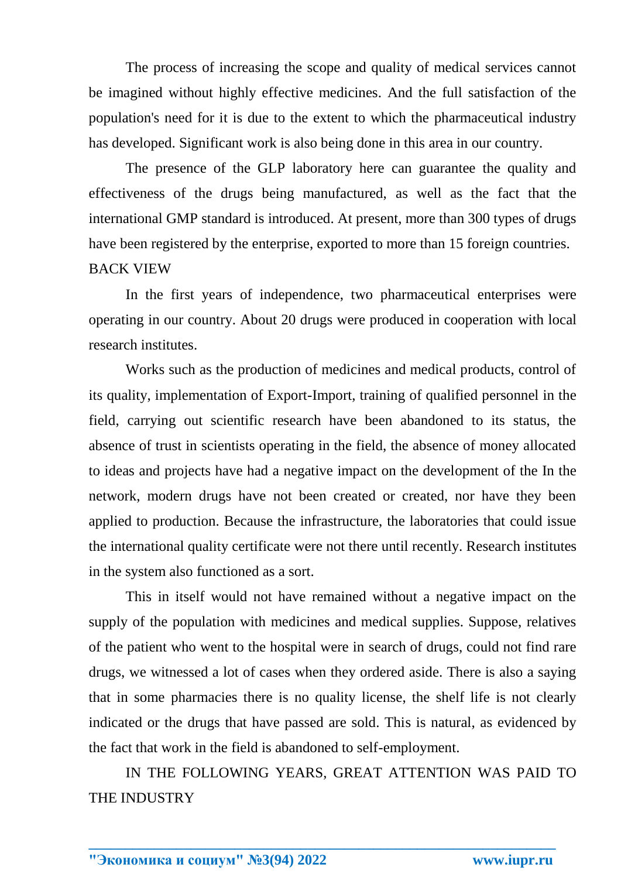The process of increasing the scope and quality of medical services cannot be imagined without highly effective medicines. And the full satisfaction of the population's need for it is due to the extent to which the pharmaceutical industry has developed. Significant work is also being done in this area in our country.

The presence of the GLP laboratory here can guarantee the quality and effectiveness of the drugs being manufactured, as well as the fact that the international GMP standard is introduced. At present, more than 300 types of drugs have been registered by the enterprise, exported to more than 15 foreign countries. BACK VIEW

In the first years of independence, two pharmaceutical enterprises were operating in our country. About 20 drugs were produced in cooperation with local research institutes.

Works such as the production of medicines and medical products, control of its quality, implementation of Export-Import, training of qualified personnel in the field, carrying out scientific research have been abandoned to its status, the absence of trust in scientists operating in the field, the absence of money allocated to ideas and projects have had a negative impact on the development of the In the network, modern drugs have not been created or created, nor have they been applied to production. Because the infrastructure, the laboratories that could issue the international quality certificate were not there until recently. Research institutes in the system also functioned as a sort.

This in itself would not have remained without a negative impact on the supply of the population with medicines and medical supplies. Suppose, relatives of the patient who went to the hospital were in search of drugs, could not find rare drugs, we witnessed a lot of cases when they ordered aside. There is also a saying that in some pharmacies there is no quality license, the shelf life is not clearly indicated or the drugs that have passed are sold. This is natural, as evidenced by the fact that work in the field is abandoned to self-employment.

IN THE FOLLOWING YEARS, GREAT ATTENTION WAS PAID TO THE INDUSTRY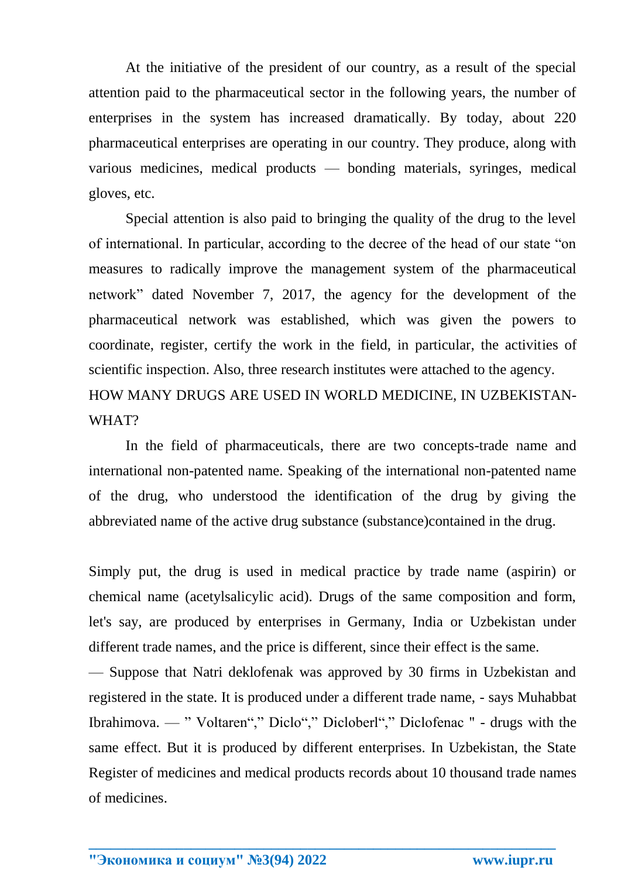At the initiative of the president of our country, as a result of the special attention paid to the pharmaceutical sector in the following years, the number of enterprises in the system has increased dramatically. By today, about 220 pharmaceutical enterprises are operating in our country. They produce, along with various medicines, medical products — bonding materials, syringes, medical gloves, etc.

Special attention is also paid to bringing the quality of the drug to the level of international. In particular, according to the decree of the head of our state "on measures to radically improve the management system of the pharmaceutical network" dated November 7, 2017, the agency for the development of the pharmaceutical network was established, which was given the powers to coordinate, register, certify the work in the field, in particular, the activities of scientific inspection. Also, three research institutes were attached to the agency. HOW MANY DRUGS ARE USED IN WORLD MEDICINE, IN UZBEKISTAN-WHAT?

In the field of pharmaceuticals, there are two concepts-trade name and international non-patented name. Speaking of the international non-patented name of the drug, who understood the identification of the drug by giving the abbreviated name of the active drug substance (substance)contained in the drug.

Simply put, the drug is used in medical practice by trade name (aspirin) or chemical name (acetylsalicylic acid). Drugs of the same composition and form, let's say, are produced by enterprises in Germany, India or Uzbekistan under different trade names, and the price is different, since their effect is the same.

— Suppose that Natri deklofenak was approved by 30 firms in Uzbekistan and registered in the state. It is produced under a different trade name, - says Muhabbat Ibrahimova. — " Voltaren"," Diclo"," Dicloberl"," Diclofenac " - drugs with the same effect. But it is produced by different enterprises. In Uzbekistan, the State Register of medicines and medical products records about 10 thousand trade names of medicines.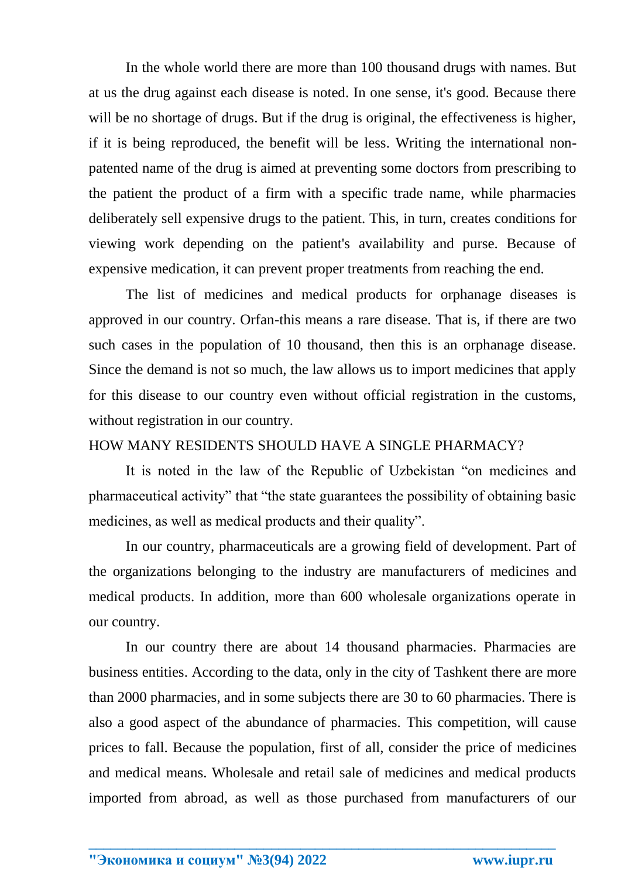In the whole world there are more than 100 thousand drugs with names. But at us the drug against each disease is noted. In one sense, it's good. Because there will be no shortage of drugs. But if the drug is original, the effectiveness is higher, if it is being reproduced, the benefit will be less. Writing the international nonpatented name of the drug is aimed at preventing some doctors from prescribing to the patient the product of a firm with a specific trade name, while pharmacies deliberately sell expensive drugs to the patient. This, in turn, creates conditions for viewing work depending on the patient's availability and purse. Because of expensive medication, it can prevent proper treatments from reaching the end.

The list of medicines and medical products for orphanage diseases is approved in our country. Orfan-this means a rare disease. That is, if there are two such cases in the population of 10 thousand, then this is an orphanage disease. Since the demand is not so much, the law allows us to import medicines that apply for this disease to our country even without official registration in the customs, without registration in our country.

## HOW MANY RESIDENTS SHOULD HAVE A SINGLE PHARMACY?

It is noted in the law of the Republic of Uzbekistan "on medicines and pharmaceutical activity" that "the state guarantees the possibility of obtaining basic medicines, as well as medical products and their quality".

In our country, pharmaceuticals are a growing field of development. Part of the organizations belonging to the industry are manufacturers of medicines and medical products. In addition, more than 600 wholesale organizations operate in our country.

In our country there are about 14 thousand pharmacies. Pharmacies are business entities. According to the data, only in the city of Tashkent there are more than 2000 pharmacies, and in some subjects there are 30 to 60 pharmacies. There is also a good aspect of the abundance of pharmacies. This competition, will cause prices to fall. Because the population, first of all, consider the price of medicines and medical means. Wholesale and retail sale of medicines and medical products imported from abroad, as well as those purchased from manufacturers of our